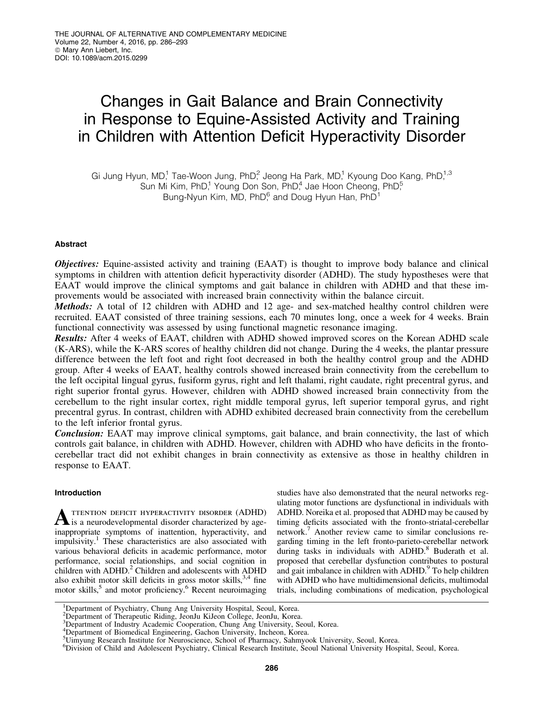# Changes in Gait Balance and Brain Connectivity in Response to Equine-Assisted Activity and Training in Children with Attention Deficit Hyperactivity Disorder

Gi Jung Hyun, MD,<sup>1</sup> Tae-Woon Jung, PhD,<sup>2</sup> Jeong Ha Park, MD,<sup>1</sup> Kyoung Doo Kang, PhD,<sup>1,3</sup> Sun Mi Kim, PhD,<sup>1</sup> Young Don Son, PhD,<sup>4</sup> Jae Hoon Cheong, PhD,<sup>5</sup> Bung-Nyun Kim, MD,  $PhD<sup>6</sup>$  and Doug Hyun Han,  $PhD<sup>1</sup>$ 

# Abstract

Objectives: Equine-assisted activity and training (EAAT) is thought to improve body balance and clinical symptoms in children with attention deficit hyperactivity disorder (ADHD). The study hypostheses were that EAAT would improve the clinical symptoms and gait balance in children with ADHD and that these improvements would be associated with increased brain connectivity within the balance circuit.

Methods: A total of 12 children with ADHD and 12 age- and sex-matched healthy control children were recruited. EAAT consisted of three training sessions, each 70 minutes long, once a week for 4 weeks. Brain functional connectivity was assessed by using functional magnetic resonance imaging.

Results: After 4 weeks of EAAT, children with ADHD showed improved scores on the Korean ADHD scale (K-ARS), while the K-ARS scores of healthy children did not change. During the 4 weeks, the plantar pressure difference between the left foot and right foot decreased in both the healthy control group and the ADHD group. After 4 weeks of EAAT, healthy controls showed increased brain connectivity from the cerebellum to the left occipital lingual gyrus, fusiform gyrus, right and left thalami, right caudate, right precentral gyrus, and right superior frontal gyrus. However, children with ADHD showed increased brain connectivity from the cerebellum to the right insular cortex, right middle temporal gyrus, left superior temporal gyrus, and right precentral gyrus. In contrast, children with ADHD exhibited decreased brain connectivity from the cerebellum to the left inferior frontal gyrus.

**Conclusion:** EAAT may improve clinical symptoms, gait balance, and brain connectivity, the last of which controls gait balance, in children with ADHD. However, children with ADHD who have deficits in the frontocerebellar tract did not exhibit changes in brain connectivity as extensive as those in healthy children in response to EAAT.

## Introduction

**A** TTENTION DEFICIT HYPERACTIVITY DISORDER (ADHD) is a neurodevelopmental disorder characterized by ageinappropriate symptoms of inattention, hyperactivity, and impulsivity.1 These characteristics are also associated with various behavioral deficits in academic performance, motor performance, social relationships, and social cognition in children with ADHD.<sup>2</sup> Children and adolescents with ADHD also exhibit motor skill deficits in gross motor skills,  $3,4$  fine motor skills,<sup>5</sup> and motor proficiency.<sup>6</sup> Recent neuroimaging studies have also demonstrated that the neural networks regulating motor functions are dysfunctional in individuals with ADHD. Noreika et al. proposed that ADHD may be caused by timing deficits associated with the fronto-striatal-cerebellar network.7 Another review came to similar conclusions regarding timing in the left fronto-parieto-cerebellar network during tasks in individuals with ADHD.<sup>8</sup> Buderath et al. proposed that cerebellar dysfunction contributes to postural and gait imbalance in children with ADHD.<sup>9</sup> To help children with ADHD who have multidimensional deficits, multimodal trials, including combinations of medication, psychological

<sup>&</sup>lt;sup>1</sup>Department of Psychiatry, Chung Ang University Hospital, Seoul, Korea.

<sup>2</sup> Department of Therapeutic Riding, JeonJu KiJeon College, JeonJu, Korea.

<sup>3</sup> Department of Industry Academic Cooperation, Chung Ang University, Seoul, Korea.

<sup>&</sup>lt;sup>4</sup>Department of Biomedical Engineering, Gachon University, Incheon, Korea.

<sup>&</sup>lt;sup>5</sup>Uimyung Research Institute for Neuroscience, School of Pharmacy, Sahmyook University, Seoul, Korea.

<sup>6</sup> Division of Child and Adolescent Psychiatry, Clinical Research Institute, Seoul National University Hospital, Seoul, Korea.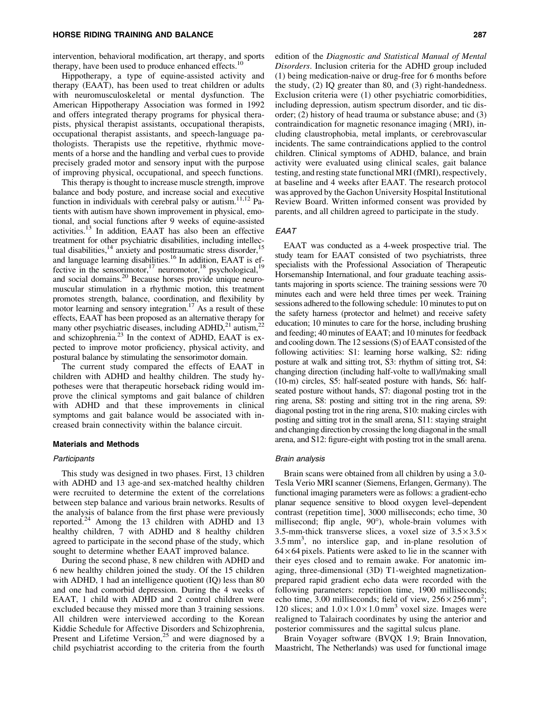intervention, behavioral modification, art therapy, and sports therapy, have been used to produce enhanced effects.<sup>10</sup>

Hippotherapy, a type of equine-assisted activity and therapy (EAAT), has been used to treat children or adults with neuromusculoskeletal or mental dysfunction. The American Hippotherapy Association was formed in 1992 and offers integrated therapy programs for physical therapists, physical therapist assistants, occupational therapists, occupational therapist assistants, and speech-language pathologists. Therapists use the repetitive, rhythmic movements of a horse and the handling and verbal cues to provide precisely graded motor and sensory input with the purpose of improving physical, occupational, and speech functions.

This therapy is thought to increase muscle strength, improve balance and body posture, and increase social and executive function in individuals with cerebral palsy or autism.<sup>11,12</sup> Patients with autism have shown improvement in physical, emotional, and social functions after 9 weeks of equine-assisted activities.13 In addition, EAAT has also been an effective treatment for other psychiatric disabilities, including intellectual disabilities, $14$  anxiety and posttraumatic stress disorder,  $15$ and language learning disabilities.<sup>16</sup> In addition, EAAT is effective in the sensorimotor,<sup>17</sup> neuromotor,<sup>18</sup> psychological,<sup>19</sup> and social domains.20 Because horses provide unique neuromuscular stimulation in a rhythmic motion, this treatment promotes strength, balance, coordination, and flexibility by motor learning and sensory integration.<sup>17</sup> As a result of these effects, EAAT has been proposed as an alternative therapy for many other psychiatric diseases, including  $ADHD<sub>1</sub><sup>21</sup>$  autism,<sup>22</sup> and schizophrenia.<sup>23</sup> In the context of ADHD, EAAT is expected to improve motor proficiency, physical activity, and postural balance by stimulating the sensorimotor domain.

The current study compared the effects of EAAT in children with ADHD and healthy children. The study hypotheses were that therapeutic horseback riding would improve the clinical symptoms and gait balance of children with ADHD and that these improvements in clinical symptoms and gait balance would be associated with increased brain connectivity within the balance circuit.

## Materials and Methods

#### Participants

This study was designed in two phases. First, 13 children with ADHD and 13 age-and sex-matched healthy children were recruited to determine the extent of the correlations between step balance and various brain networks. Results of the analysis of balance from the first phase were previously reported.<sup>24</sup> Among the 13 children with ADHD and 13 healthy children, 7 with ADHD and 8 healthy children agreed to participate in the second phase of the study, which sought to determine whether EAAT improved balance.

During the second phase, 8 new children with ADHD and 6 new healthy children joined the study. Of the 15 children with ADHD, 1 had an intelligence quotient (IQ) less than 80 and one had comorbid depression. During the 4 weeks of EAAT, 1 child with ADHD and 2 control children were excluded because they missed more than 3 training sessions. All children were interviewed according to the Korean Kiddie Schedule for Affective Disorders and Schizophrenia, Present and Lifetime Version, $25$  and were diagnosed by a child psychiatrist according to the criteria from the fourth edition of the *Diagnostic and Statistical Manual of Mental Disorders*. Inclusion criteria for the ADHD group included (1) being medication-naive or drug-free for 6 months before the study, (2) IQ greater than 80, and (3) right-handedness. Exclusion criteria were (1) other psychiatric comorbidities, including depression, autism spectrum disorder, and tic disorder; (2) history of head trauma or substance abuse; and (3) contraindication for magnetic resonance imaging (MRI), including claustrophobia, metal implants, or cerebrovascular incidents. The same contraindications applied to the control children. Clinical symptoms of ADHD, balance, and brain activity were evaluated using clinical scales, gait balance testing, and resting state functional MRI (fMRI), respectively, at baseline and 4 weeks after EAAT. The research protocol was approved by the Gachon University Hospital Institutional Review Board. Written informed consent was provided by parents, and all children agreed to participate in the study.

## EAAT

EAAT was conducted as a 4-week prospective trial. The study team for EAAT consisted of two psychiatrists, three specialists with the Professional Association of Therapeutic Horsemanship International, and four graduate teaching assistants majoring in sports science. The training sessions were 70 minutes each and were held three times per week. Training sessions adhered to the following schedule: 10 minutes to put on the safety harness (protector and helmet) and receive safety education; 10 minutes to care for the horse, including brushing and feeding; 40 minutes of EAAT; and 10 minutes for feedback and cooling down. The 12 sessions (S) of EAAT consisted of the following activities: S1: learning horse walking, S2: riding posture at walk and sitting trot, S3: rhythm of sitting trot, S4: changing direction (including half-volte to wall)/making small (10-m) circles, S5: half-seated posture with hands, S6: halfseated posture without hands, S7: diagonal posting trot in the ring arena, S8: posting and sitting trot in the ring arena, S9: diagonal posting trot in the ring arena, S10: making circles with posting and sitting trot in the small arena, S11: staying straight and changing direction by crossing the long diagonal in the small arena, and S12: figure-eight with posting trot in the small arena.

#### Brain analysis

Brain scans were obtained from all children by using a 3.0- Tesla Verio MRI scanner (Siemens, Erlangen, Germany). The functional imaging parameters were as follows: a gradient-echo planar sequence sensitive to blood oxygen level–dependent contrast (repetition time], 3000 milliseconds; echo time, 30 millisecond; flip angle, 90°), whole-brain volumes with 3.5-mm-thick transverse slices, a voxel size of  $3.5 \times 3.5 \times$  $3.5 \text{ mm}^3$ , no interslice gap, and in-plane resolution of  $64 \times 64$  pixels. Patients were asked to lie in the scanner with their eyes closed and to remain awake. For anatomic imaging, three-dimensional (3D) T1-weighted magnetizationprepared rapid gradient echo data were recorded with the following parameters: repetition time, 1900 milliseconds; echo time, 3.00 milliseconds; field of view,  $256 \times 256$  mm<sup>2</sup>; 120 slices; and  $1.0 \times 1.0 \times 1.0$  mm<sup>3</sup> voxel size. Images were realigned to Talairach coordinates by using the anterior and posterior commissures and the sagittal sulcus plane.

Brain Voyager software (BVQX 1.9; Brain Innovation, Maastricht, The Netherlands) was used for functional image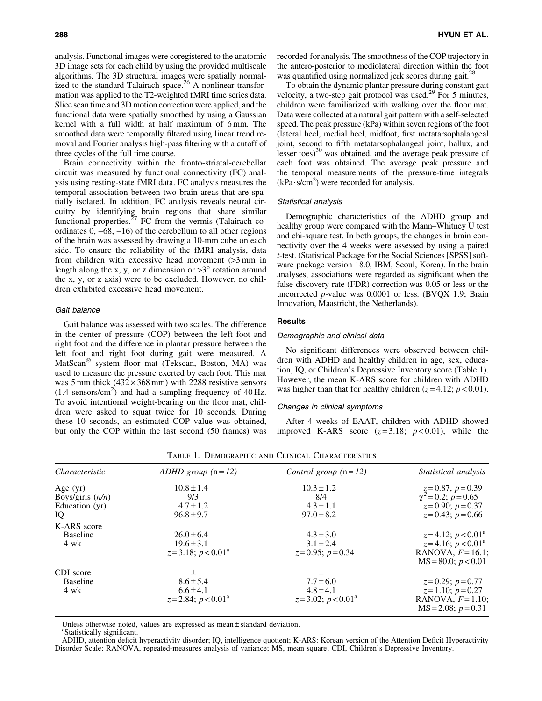analysis. Functional images were coregistered to the anatomic 3D image sets for each child by using the provided multiscale algorithms. The 3D structural images were spatially normalized to the standard Talairach space. $26$  A nonlinear transformation was applied to the T2-weighted fMRI time series data. Slice scan time and 3D motion correction were applied, and the functional data were spatially smoothed by using a Gaussian kernel with a full width at half maximum of 6 mm. The smoothed data were temporally filtered using linear trend removal and Fourier analysis high-pass filtering with a cutoff of three cycles of the full time course.

Brain connectivity within the fronto-striatal-cerebellar circuit was measured by functional connectivity (FC) analysis using resting-state fMRI data. FC analysis measures the temporal association between two brain areas that are spatially isolated. In addition, FC analysis reveals neural circuitry by identifying brain regions that share similar functional properties. $^{27}$  FC from the vermis (Talairach coordinates  $0, -68, -16$  of the cerebellum to all other regions of the brain was assessed by drawing a 10-mm cube on each side. To ensure the reliability of the fMRI analysis, data from children with excessive head movement (>3 mm in length along the x, y, or z dimension or  $>3^\circ$  rotation around the x, y, or z axis) were to be excluded. However, no children exhibited excessive head movement.

#### Gait balance

Gait balance was assessed with two scales. The difference in the center of pressure (COP) between the left foot and right foot and the difference in plantar pressure between the left foot and right foot during gait were measured. A MatScan<sup>®</sup> system floor mat (Tekscan, Boston, MA) was used to measure the pressure exerted by each foot. This mat was 5 mm thick  $(432 \times 368 \text{ mm})$  with 2288 resistive sensors  $(1.4 \text{ sensors/cm}^2)$  and had a sampling frequency of 40 Hz. To avoid intentional weight-bearing on the floor mat, children were asked to squat twice for 10 seconds. During these 10 seconds, an estimated COP value was obtained, but only the COP within the last second (50 frames) was recorded for analysis. The smoothness of the COP trajectory in the antero-posterior to mediolateral direction within the foot was quantified using normalized jerk scores during gait.<sup>28</sup>

To obtain the dynamic plantar pressure during constant gait velocity, a two-step gait protocol was used.<sup>29</sup> For 5 minutes, children were familiarized with walking over the floor mat. Data were collected at a natural gait pattern with a self-selected speed. The peak pressure (kPa) within seven regions of the foot (lateral heel, medial heel, midfoot, first metatarsophalangeal joint, second to fifth metatarsophalangeal joint, hallux, and lesser toes) $30$  was obtained, and the average peak pressure of each foot was obtained. The average peak pressure and the temporal measurements of the pressure-time integrals  $(kPa·s/cm<sup>2</sup>)$  were recorded for analysis.

## Statistical analysis

Demographic characteristics of the ADHD group and healthy group were compared with the Mann–Whitney U test and chi-square test. In both groups, the changes in brain connectivity over the 4 weeks were assessed by using a paired *t*-test. (Statistical Package for the Social Sciences [SPSS] software package version 18.0, IBM, Seoul, Korea). In the brain analyses, associations were regarded as significant when the false discovery rate (FDR) correction was 0.05 or less or the uncorrected *p-*value was 0.0001 or less. (BVQX 1.9; Brain Innovation, Maastricht, the Netherlands).

## **Results**

#### Demographic and clinical data

No significant differences were observed between children with ADHD and healthy children in age, sex, education, IQ, or Children's Depressive Inventory score (Table 1). However, the mean K-ARS score for children with ADHD was higher than that for healthy children  $(z=4.12; p<0.01)$ .

#### Changes in clinical symptoms

After 4 weeks of EAAT, children with ADHD showed improved K-ARS score  $(z=3.18; p<0.01)$ , while the

| Characteristic                                                                                                  | ADHD group $(n=12)$                                    | Control group $(n=12)$                                    | Statistical analysis                                                                              |
|-----------------------------------------------------------------------------------------------------------------|--------------------------------------------------------|-----------------------------------------------------------|---------------------------------------------------------------------------------------------------|
| Age $(yr)$                                                                                                      | $10.8 \pm 1.4$<br>9/3                                  | $10.3 \pm 1.2$<br>8/4                                     | $z=0.87, p=0.39$<br>$\chi^2=0.2; p=0.65$                                                          |
| Boys/girls $(n/n)$<br>Education (yr)<br>IQ                                                                      | $4.7 \pm 1.2$<br>$96.8 \pm 9.7$                        | $4.3 \pm 1.1$<br>$97.0 \pm 8.2$                           | $z=0.90; p=0.37$<br>$z=0.43; p=0.66$                                                              |
| K-ARS score                                                                                                     |                                                        |                                                           |                                                                                                   |
| <b>Baseline</b><br>4 wk                                                                                         | $26.0 \pm 6.4$<br>$19.6 \pm 3.1$<br>$z=3.18; p<0.01^a$ | $4.3 \pm 3.0$<br>$3.1 \pm 2.4$<br>$z=0.95; p=0.34$        | $z=4.12$ ; $p < 0.01^a$<br>$z=4.16$ ; $p < 0.01^a$<br>RANOVA, $F=16.1$ ;<br>$MS = 80.0; p < 0.01$ |
| CDI score<br>土<br>$8.6 \pm 5.4$<br><b>Baseline</b><br>$6.6 \pm 4.1$<br>4 wk<br>$z=2.84$ ; $p < 0.01^{\text{a}}$ |                                                        | 土<br>$7.7 \pm 6.0$<br>$4.8 \pm 4.1$<br>$z=3.02; p<0.01^a$ | $z=0.29; p=0.77$<br>$z=1.10; p=0.27$<br>RANOVA, $F=1.10$ ;<br>$MS = 2.08$ ; $p = 0.31$            |

Table 1. Demographic and Clinical Characteristics

Unless otherwise noted, values are expressed as mean  $\pm$  standard deviation.

Statistically significant.

ADHD, attention deficit hyperactivity disorder; IQ, intelligence quotient; K-ARS: Korean version of the Attention Deficit Hyperactivity Disorder Scale; RANOVA, repeated-measures analysis of variance; MS, mean square; CDI, Children's Depressive Inventory.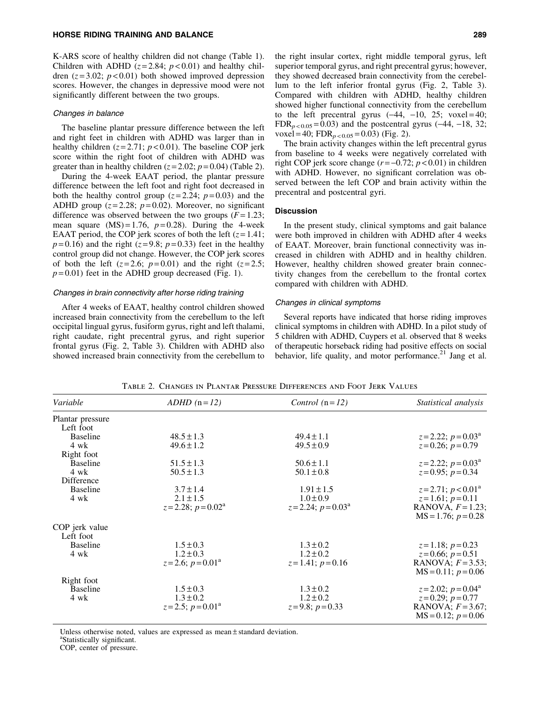K-ARS score of healthy children did not change (Table 1). Children with ADHD  $(z=2.84; p<0.01)$  and healthy children  $(z=3.02; p<0.01)$  both showed improved depression scores. However, the changes in depressive mood were not significantly different between the two groups.

#### Changes in balance

The baseline plantar pressure difference between the left and right feet in children with ADHD was larger than in healthy children  $(z=2.71; p<0.01)$ . The baseline COP jerk score within the right foot of children with ADHD was greater than in healthy children  $(z=2.02; p=0.04)$  (Table 2).

During the 4-week EAAT period, the plantar pressure difference between the left foot and right foot decreased in both the healthy control group  $(z=2.24; p=0.03)$  and the ADHD group  $(z=2.28; p=0.02)$ . Moreover, no significant difference was observed between the two groups  $(F = 1.23)$ ; mean square  $(MS) = 1.76$ ,  $p = 0.28$ ). During the 4-week EAAT period, the COP jerk scores of both the left  $(z=1.41)$ ;  $p=0.16$ ) and the right ( $z=9.8$ ;  $p=0.33$ ) feet in the healthy control group did not change. However, the COP jerk scores of both the left  $(z=2.6; p=0.01)$  and the right  $(z=2.5;$  $p=0.01$ ) feet in the ADHD group decreased (Fig. 1).

## Changes in brain connectivity after horse riding training

After 4 weeks of EAAT, healthy control children showed increased brain connectivity from the cerebellum to the left occipital lingual gyrus, fusiform gyrus, right and left thalami, right caudate, right precentral gyrus, and right superior frontal gyrus (Fig. 2, Table 3). Children with ADHD also showed increased brain connectivity from the cerebellum to

the right insular cortex, right middle temporal gyrus, left superior temporal gyrus, and right precentral gyrus; however, they showed decreased brain connectivity from the cerebellum to the left inferior frontal gyrus (Fig. 2, Table 3). Compared with children with ADHD, healthy children showed higher functional connectivity from the cerebellum to the left precentral gyrus  $(-44, -10, 25; \text{voxel} = 40;$ FDR<sub>p < 0.05</sub> = 0.03) and the postcentral gyrus  $(-44, -18, 32;$ voxel = 40;  $FDR_{p<0.05} = 0.03$ ) (Fig. 2).

The brain activity changes within the left precentral gyrus from baseline to 4 weeks were negatively correlated with right COP jerk score change  $(r = -0.72; p < 0.01)$  in children with ADHD. However, no significant correlation was observed between the left COP and brain activity within the precentral and postcentral gyri.

## **Discussion**

In the present study, clinical symptoms and gait balance were both improved in children with ADHD after 4 weeks of EAAT. Moreover, brain functional connectivity was increased in children with ADHD and in healthy children. However, healthy children showed greater brain connectivity changes from the cerebellum to the frontal cortex compared with children with ADHD.

#### Changes in clinical symptoms

Several reports have indicated that horse riding improves clinical symptoms in children with ADHD. In a pilot study of 5 children with ADHD, Cuypers et al. observed that 8 weeks of therapeutic horseback riding had positive effects on social behavior, life quality, and motor performance. $21$  Jang et al.

| Variable         | $ADHD$ (n = 12)                | Control $(n=12)$               | Statistical analysis                           |
|------------------|--------------------------------|--------------------------------|------------------------------------------------|
| Plantar pressure |                                |                                |                                                |
| Left foot        |                                |                                |                                                |
| <b>Baseline</b>  | $48.5 \pm 1.3$                 | $49.4 \pm 1.1$                 | $z=2.22$ ; $p=0.03^{\text{a}}$                 |
| 4 wk             | $49.6 \pm 1.2$                 | $49.5 \pm 0.9$                 | $z=0.26; p=0.79$                               |
| Right foot       |                                |                                |                                                |
| <b>Baseline</b>  | $51.5 \pm 1.3$                 | $50.6 \pm 1.1$                 | $z=2.22$ ; $p=0.03^{\text{a}}$                 |
| 4 wk             | $50.5 \pm 1.3$                 | $50.1 \pm 0.8$                 | $z=0.95; p=0.34$                               |
| Difference       |                                |                                |                                                |
| <b>Baseline</b>  | $3.7 \pm 1.4$                  | $1.91 \pm 1.5$                 | $z=2.71$ ; $p < 0.01^{\text{a}}$               |
| 4 wk             | $2.1 \pm 1.5$                  | $1.0 \pm 0.9$                  | $z=1.61; p=0.11$                               |
|                  | $z=2.28$ ; $p=0.02^{\text{a}}$ | $z=2.24$ ; $p=0.03^{\text{a}}$ | RANOVA, $F=1.23$ ;<br>$MS = 1.76$ ; $p = 0.28$ |
| COP jerk value   |                                |                                |                                                |
| Left foot        |                                |                                |                                                |
| <b>Baseline</b>  | $1.5 \pm 0.3$                  | $1.3 \pm 0.2$                  | $z=1.18; p=0.23$                               |
| 4 wk             | $1.2 \pm 0.3$                  | $1.2 \pm 0.2$                  | $z=0.66; p=0.51$                               |
|                  | $z=2.6$ ; $p=0.01^{\text{a}}$  | $z=1.41; p=0.16$               | RANOVA; $F=3.53$ ;                             |
|                  |                                |                                | $MS = 0.11$ ; $p = 0.06$                       |
| Right foot       |                                |                                |                                                |
| <b>Baseline</b>  | $1.5 \pm 0.3$                  | $1.3 \pm 0.2$                  | $z=2.02$ ; $p=0.04^{\circ}$                    |
| 4 wk             | $1.3 \pm 0.2$                  | $1.2 \pm 0.2$                  | $z=0.29; p=0.77$                               |
|                  | $z=2.5$ ; $p=0.01^{\text{a}}$  | $z=9.8; p=0.33$                | RANOVA; $F=3.67$ ;<br>$MS = 0.12$ ; $p = 0.06$ |

Table 2. Changes in Plantar Pressure Differences and Foot Jerk Values

Unless otherwise noted, values are expressed as mean  $\pm$  standard deviation.

Statistically significant.

COP, center of pressure.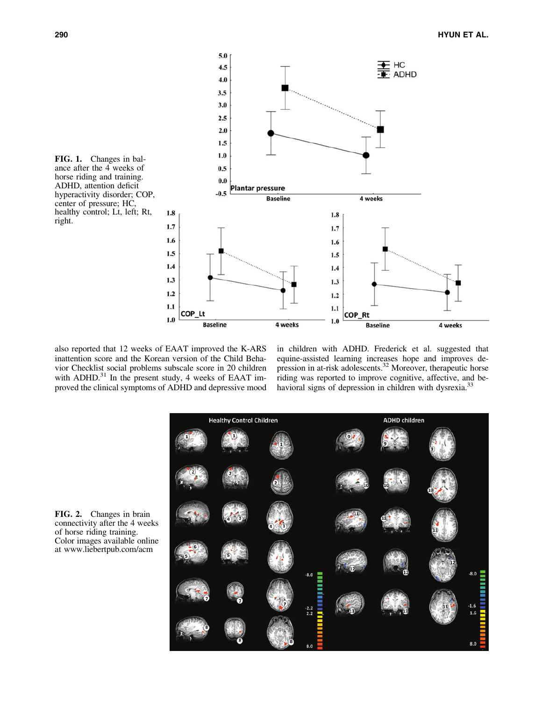

also reported that 12 weeks of EAAT improved the K-ARS inattention score and the Korean version of the Child Behavior Checklist social problems subscale score in 20 children with ADHD. $^{31}$  In the present study, 4 weeks of EAAT improved the clinical symptoms of ADHD and depressive mood

in children with ADHD. Frederick et al. suggested that equine-assisted learning increases hope and improves depression in at-risk adolescents.<sup>32</sup> Moreover, therapeutic horse riding was reported to improve cognitive, affective, and behavioral signs of depression in children with dysrexia.<sup>33</sup>

**ADHD children Healthy Control Children**  $.8.0$  $-2.2$ <br>2.2  $8.0$  $8.0$ 

FIG. 2. Changes in brain connectivity after the 4 weeks of horse riding training. Color images available online at www.liebertpub.com/acm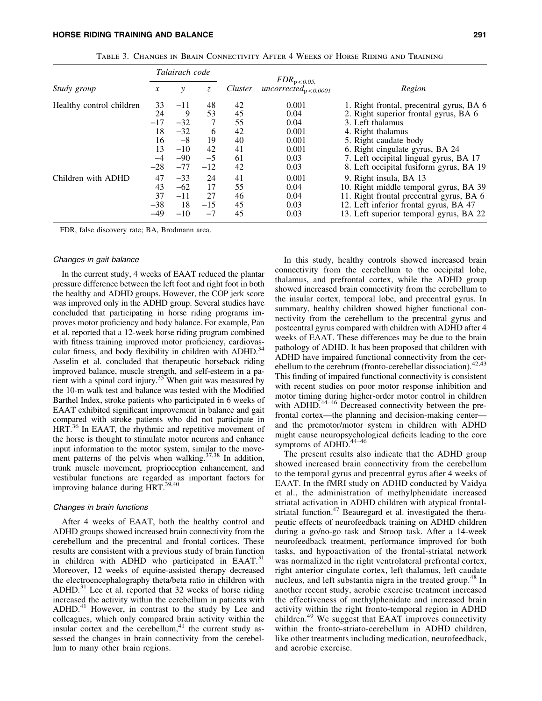|                          | Talairach code |         |       |         |                                                |                                          |  |
|--------------------------|----------------|---------|-------|---------|------------------------------------------------|------------------------------------------|--|
| Study group              | $\mathcal{X}$  | Z.<br>у |       | Cluster | $FDR_{\rm p<0.05}$<br>$uncorrected_{p<0.0001}$ | Region                                   |  |
| Healthy control children | 33             | $-11$   | 48    | 42      | 0.001                                          | 1. Right frontal, precentral gyrus, BA 6 |  |
|                          | 24             | 9       | 53    | 45      | 0.04                                           | 2. Right superior frontal gyrus, BA 6    |  |
|                          | $-17$          | $-32$   | 7     | 55      | 0.04                                           | 3. Left thalamus                         |  |
|                          | 18             | $-32$   | 6     | 42      | 0.001                                          | 4. Right thalamus                        |  |
|                          | 16             | $-8$    | 19    | 40      | 0.001                                          | 5. Right caudate body                    |  |
|                          | 13             | $-10$   | 42    | 41      | 0.001                                          | 6. Right cingulate gyrus, BA 24          |  |
|                          | $-4$           | $-90$   | $-5$  | 61      | 0.03                                           | 7. Left occipital lingual gyrus, BA 17   |  |
|                          | $-28$          | $-77$   | $-12$ | 42      | 0.03                                           | 8. Left occipital fusiform gyrus, BA 19  |  |
| Children with ADHD       | 47             | $-33$   | 24    | 41      | 0.001                                          | 9. Right insula, BA 13                   |  |
|                          | 43             | $-62$   | 17    | 55      | 0.04                                           | 10. Right middle temporal gyrus, BA 39   |  |
|                          | 37             | $-11$   | 27    | 46      | 0.04                                           | 11. Right frontal precentral gyrus, BA 6 |  |
|                          | $-38$          | 18      | $-15$ | 45      | 0.03                                           | 12. Left inferior frontal gyrus, BA 47   |  |
|                          | $-49$          | $-10$   | $-7$  | 45      | 0.03                                           | 13. Left superior temporal gyrus, BA 22  |  |

Table 3. Changes in Brain Connectivity After 4 Weeks of Horse Riding and Training

FDR, false discovery rate; BA, Brodmann area.

#### Changes in gait balance

In the current study, 4 weeks of EAAT reduced the plantar pressure difference between the left foot and right foot in both the healthy and ADHD groups. However, the COP jerk score was improved only in the ADHD group. Several studies have concluded that participating in horse riding programs improves motor proficiency and body balance. For example, Pan et al. reported that a 12-week horse riding program combined with fitness training improved motor proficiency, cardiovascular fitness, and body flexibility in children with ADHD.<sup>34</sup> Asselin et al. concluded that therapeutic horseback riding improved balance, muscle strength, and self-esteem in a patient with a spinal cord injury.<sup>35</sup> When gait was measured by the 10-m walk test and balance was tested with the Modified Barthel Index, stroke patients who participated in 6 weeks of EAAT exhibited significant improvement in balance and gait compared with stroke patients who did not participate in HRT.<sup>36</sup> In EAAT, the rhythmic and repetitive movement of the horse is thought to stimulate motor neurons and enhance input information to the motor system, similar to the movement patterns of the pelvis when walking.<sup>37,38</sup> In addition, trunk muscle movement, proprioception enhancement, and vestibular functions are regarded as important factors for improving balance during HRT.<sup>39,40</sup>

#### Changes in brain functions

After 4 weeks of EAAT, both the healthy control and ADHD groups showed increased brain connectivity from the cerebellum and the precentral and frontal cortices. These results are consistent with a previous study of brain function in children with ADHD who participated in EAAT. $31$ Moreover, 12 weeks of equine-assisted therapy decreased the electroencephalography theta/beta ratio in children with ADHD. $^{31}$  Lee et al. reported that 32 weeks of horse riding increased the activity within the cerebellum in patients with ADHD.<sup>41</sup> However, in contrast to the study by Lee and colleagues, which only compared brain activity within the insular cortex and the cerebellum, $41$  the current study assessed the changes in brain connectivity from the cerebellum to many other brain regions.

In this study, healthy controls showed increased brain connectivity from the cerebellum to the occipital lobe, thalamus, and prefrontal cortex, while the ADHD group showed increased brain connectivity from the cerebellum to the insular cortex, temporal lobe, and precentral gyrus. In summary, healthy children showed higher functional connectivity from the cerebellum to the precentral gyrus and postcentral gyrus compared with children with ADHD after 4 weeks of EAAT. These differences may be due to the brain pathology of ADHD. It has been proposed that children with ADHD have impaired functional connectivity from the cerebellum to the cerebrum (fronto-cerebellar dissociation).  $42,43$ This finding of impaired functional connectivity is consistent with recent studies on poor motor response inhibition and motor timing during higher-order motor control in children with ADHD.<sup>44–46</sup> Decreased connectivity between the prefrontal cortex—the planning and decision-making center and the premotor/motor system in children with ADHD might cause neuropsychological deficits leading to the core symptoms of ADHD.<sup>44-46</sup>

The present results also indicate that the ADHD group showed increased brain connectivity from the cerebellum to the temporal gyrus and precentral gyrus after 4 weeks of EAAT. In the fMRI study on ADHD conducted by Vaidya et al., the administration of methylphenidate increased striatal activation in ADHD children with atypical frontalstriatal function.<sup>47</sup> Beauregard et al. investigated the therapeutic effects of neurofeedback training on ADHD children during a go/no-go task and Stroop task. After a 14-week neurofeedback treatment, performance improved for both tasks, and hypoactivation of the frontal-striatal network was normalized in the right ventrolateral prefrontal cortex, right anterior cingulate cortex, left thalamus, left caudate nucleus, and left substantia nigra in the treated group.<sup>48</sup> In another recent study, aerobic exercise treatment increased the effectiveness of methylphenidate and increased brain activity within the right fronto-temporal region in ADHD children.<sup>49</sup> We suggest that EAAT improves connectivity within the fronto-striato-cerebellum in ADHD children, like other treatments including medication, neurofeedback, and aerobic exercise.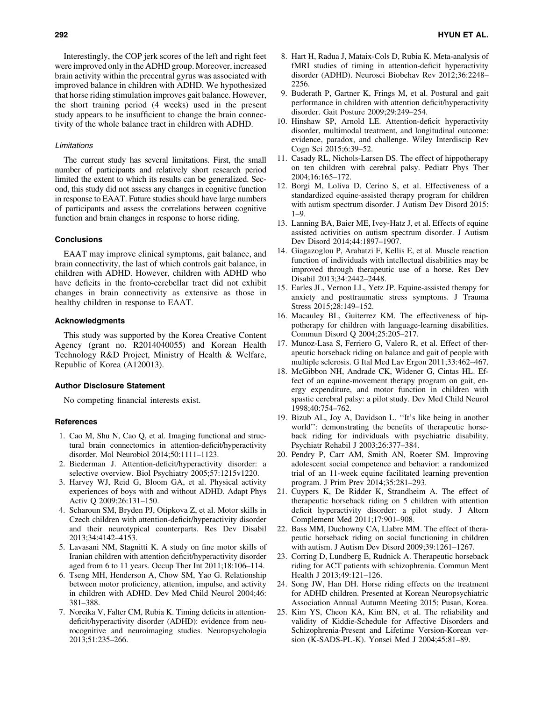Interestingly, the COP jerk scores of the left and right feet were improved only in the ADHD group. Moreover, increased brain activity within the precentral gyrus was associated with improved balance in children with ADHD. We hypothesized that horse riding stimulation improves gait balance. However, the short training period (4 weeks) used in the present study appears to be insufficient to change the brain connectivity of the whole balance tract in children with ADHD.

## Limitations

The current study has several limitations. First, the small number of participants and relatively short research period limited the extent to which its results can be generalized. Second, this study did not assess any changes in cognitive function in response to EAAT. Future studies should have large numbers of participants and assess the correlations between cognitive function and brain changes in response to horse riding.

#### **Conclusions**

EAAT may improve clinical symptoms, gait balance, and brain connectivity, the last of which controls gait balance, in children with ADHD. However, children with ADHD who have deficits in the fronto-cerebellar tract did not exhibit changes in brain connectivity as extensive as those in healthy children in response to EAAT.

#### Acknowledgments

This study was supported by the Korea Creative Content Agency (grant no. R2014040055) and Korean Health Technology R&D Project, Ministry of Health & Welfare, Republic of Korea (A120013).

### Author Disclosure Statement

No competing financial interests exist.

#### References

- 1. Cao M, Shu N, Cao Q, et al. Imaging functional and structural brain connectomics in attention-deficit/hyperactivity disorder. Mol Neurobiol 2014;50:1111–1123.
- 2. Biederman J. Attention-deficit/hyperactivity disorder: a selective overview. Biol Psychiatry 2005;57:1215v1220.
- 3. Harvey WJ, Reid G, Bloom GA, et al. Physical activity experiences of boys with and without ADHD. Adapt Phys Activ Q 2009;26:131–150.
- 4. Scharoun SM, Bryden PJ, Otipkova Z, et al. Motor skills in Czech children with attention-deficit/hyperactivity disorder and their neurotypical counterparts. Res Dev Disabil 2013;34:4142–4153.
- 5. Lavasani NM, Stagnitti K. A study on fine motor skills of Iranian children with attention deficit/hyperactivity disorder aged from 6 to 11 years. Occup Ther Int 2011;18:106–114.
- 6. Tseng MH, Henderson A, Chow SM, Yao G. Relationship between motor proficiency, attention, impulse, and activity in children with ADHD. Dev Med Child Neurol 2004;46: 381–388.
- 7. Noreika V, Falter CM, Rubia K. Timing deficits in attentiondeficit/hyperactivity disorder (ADHD): evidence from neurocognitive and neuroimaging studies. Neuropsychologia 2013;51:235–266.
- 8. Hart H, Radua J, Mataix-Cols D, Rubia K. Meta-analysis of fMRI studies of timing in attention-deficit hyperactivity disorder (ADHD). Neurosci Biobehav Rev 2012;36:2248– 2256.
- 9. Buderath P, Gartner K, Frings M, et al. Postural and gait performance in children with attention deficit/hyperactivity disorder. Gait Posture 2009;29:249–254.
- 10. Hinshaw SP, Arnold LE. Attention-deficit hyperactivity disorder, multimodal treatment, and longitudinal outcome: evidence, paradox, and challenge. Wiley Interdiscip Rev Cogn Sci 2015;6:39–52.
- 11. Casady RL, Nichols-Larsen DS. The effect of hippotherapy on ten children with cerebral palsy. Pediatr Phys Ther 2004;16:165–172.
- 12. Borgi M, Loliva D, Cerino S, et al. Effectiveness of a standardized equine-assisted therapy program for children with autism spectrum disorder. J Autism Dev Disord 2015:  $1 - 9$
- 13. Lanning BA, Baier ME, Ivey-Hatz J, et al. Effects of equine assisted activities on autism spectrum disorder. J Autism Dev Disord 2014;44:1897–1907.
- 14. Giagazoglou P, Arabatzi F, Kellis E, et al. Muscle reaction function of individuals with intellectual disabilities may be improved through therapeutic use of a horse. Res Dev Disabil 2013;34:2442–2448.
- 15. Earles JL, Vernon LL, Yetz JP. Equine-assisted therapy for anxiety and posttraumatic stress symptoms. J Trauma Stress 2015;28:149–152.
- 16. Macauley BL, Guiterrez KM. The effectiveness of hippotherapy for children with language-learning disabilities. Commun Disord Q 2004;25:205–217.
- 17. Munoz-Lasa S, Ferriero G, Valero R, et al. Effect of therapeutic horseback riding on balance and gait of people with multiple sclerosis. G Ital Med Lav Ergon 2011;33:462–467.
- 18. McGibbon NH, Andrade CK, Widener G, Cintas HL. Effect of an equine-movement therapy program on gait, energy expenditure, and motor function in children with spastic cerebral palsy: a pilot study. Dev Med Child Neurol 1998;40:754–762.
- 19. Bizub AL, Joy A, Davidson L. ''It's like being in another world'': demonstrating the benefits of therapeutic horseback riding for individuals with psychiatric disability. Psychiatr Rehabil J 2003;26:377–384.
- 20. Pendry P, Carr AM, Smith AN, Roeter SM. Improving adolescent social competence and behavior: a randomized trial of an 11-week equine facilitated learning prevention program. J Prim Prev 2014;35:281–293.
- 21. Cuypers K, De Ridder K, Strandheim A. The effect of therapeutic horseback riding on 5 children with attention deficit hyperactivity disorder: a pilot study. J Altern Complement Med 2011;17:901–908.
- 22. Bass MM, Duchowny CA, Llabre MM. The effect of therapeutic horseback riding on social functioning in children with autism. J Autism Dev Disord 2009;39:1261–1267.
- 23. Corring D, Lundberg E, Rudnick A. Therapeutic horseback riding for ACT patients with schizophrenia. Commun Ment Health J 2013;49:121–126.
- 24. Song JW, Han DH. Horse riding effects on the treatment for ADHD children. Presented at Korean Neuropsychiatric Association Annual Autumn Meeting 2015; Pusan, Korea.
- 25. Kim YS, Cheon KA, Kim BN, et al. The reliability and validity of Kiddie-Schedule for Affective Disorders and Schizophrenia-Present and Lifetime Version-Korean version (K-SADS-PL-K). Yonsei Med J 2004;45:81–89.